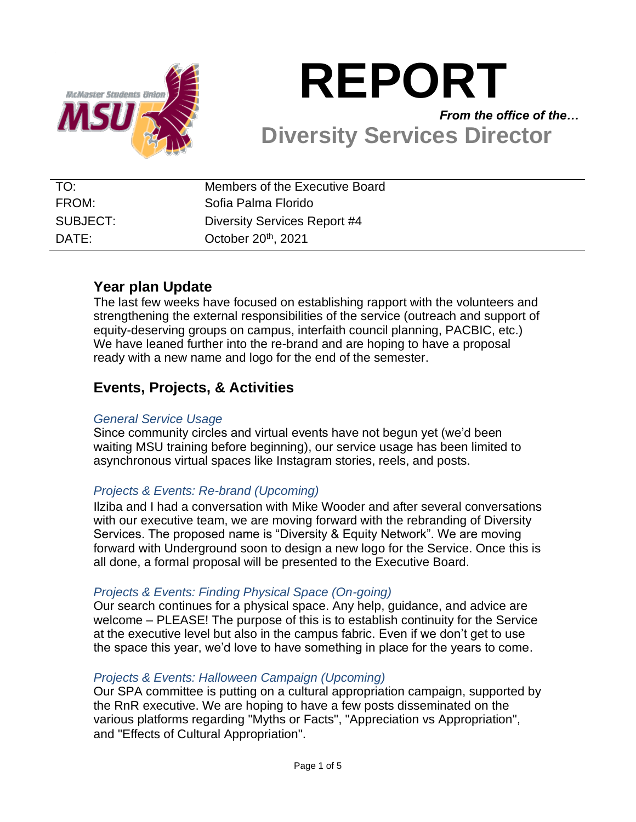

# **REPORT** *From the office of the…* **Diversity Services Director**

| TO:      | Members of the Executive Board  |
|----------|---------------------------------|
| FROM:    | Sofia Palma Florido             |
| SUBJECT: | Diversity Services Report #4    |
| DATE:    | October 20 <sup>th</sup> , 2021 |

# **Year plan Update**

The last few weeks have focused on establishing rapport with the volunteers and strengthening the external responsibilities of the service (outreach and support of equity-deserving groups on campus, interfaith council planning, PACBIC, etc.) We have leaned further into the re-brand and are hoping to have a proposal ready with a new name and logo for the end of the semester.

# **Events, Projects, & Activities**

### *General Service Usage*

Since community circles and virtual events have not begun yet (we'd been waiting MSU training before beginning), our service usage has been limited to asynchronous virtual spaces like Instagram stories, reels, and posts.

## *Projects & Events: Re-brand (Upcoming)*

Ilziba and I had a conversation with Mike Wooder and after several conversations with our executive team, we are moving forward with the rebranding of Diversity Services. The proposed name is "Diversity & Equity Network". We are moving forward with Underground soon to design a new logo for the Service. Once this is all done, a formal proposal will be presented to the Executive Board.

## *Projects & Events: Finding Physical Space (On-going)*

Our search continues for a physical space. Any help, guidance, and advice are welcome – PLEASE! The purpose of this is to establish continuity for the Service at the executive level but also in the campus fabric. Even if we don't get to use the space this year, we'd love to have something in place for the years to come.

## *Projects & Events: Halloween Campaign (Upcoming)*

Our SPA committee is putting on a cultural appropriation campaign, supported by the RnR executive. We are hoping to have a few posts disseminated on the various platforms regarding "Myths or Facts", "Appreciation vs Appropriation", and "Effects of Cultural Appropriation".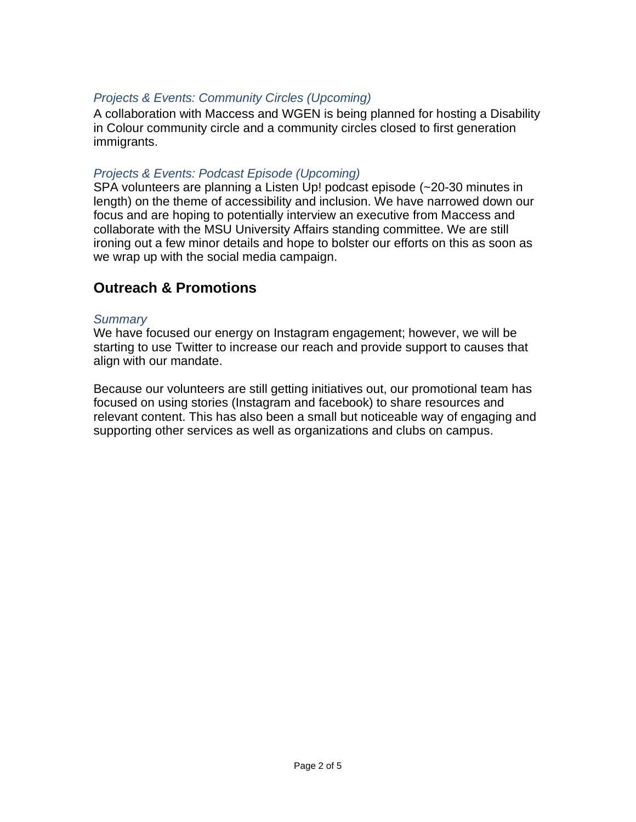## *Projects & Events: Community Circles (Upcoming)*

A collaboration with Maccess and WGEN is being planned for hosting a Disability in Colour community circle and a community circles closed to first generation immigrants.

#### *Projects & Events: Podcast Episode (Upcoming)*

SPA volunteers are planning a Listen Up! podcast episode (~20-30 minutes in length) on the theme of accessibility and inclusion. We have narrowed down our focus and are hoping to potentially interview an executive from Maccess and collaborate with the MSU University Affairs standing committee. We are still ironing out a few minor details and hope to bolster our efforts on this as soon as we wrap up with the social media campaign.

# **Outreach & Promotions**

#### *Summary*

We have focused our energy on Instagram engagement; however, we will be starting to use Twitter to increase our reach and provide support to causes that align with our mandate.

Because our volunteers are still getting initiatives out, our promotional team has focused on using stories (Instagram and facebook) to share resources and relevant content. This has also been a small but noticeable way of engaging and supporting other services as well as organizations and clubs on campus.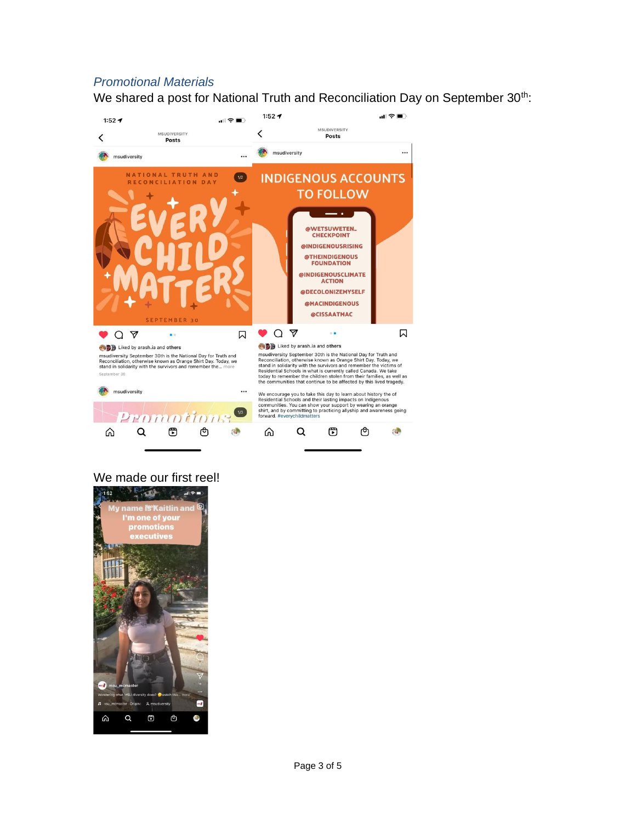#### *Promotional Materials*

We shared a post for National Truth and Reconciliation Day on September 30<sup>th</sup>:



#### We made our first reel!

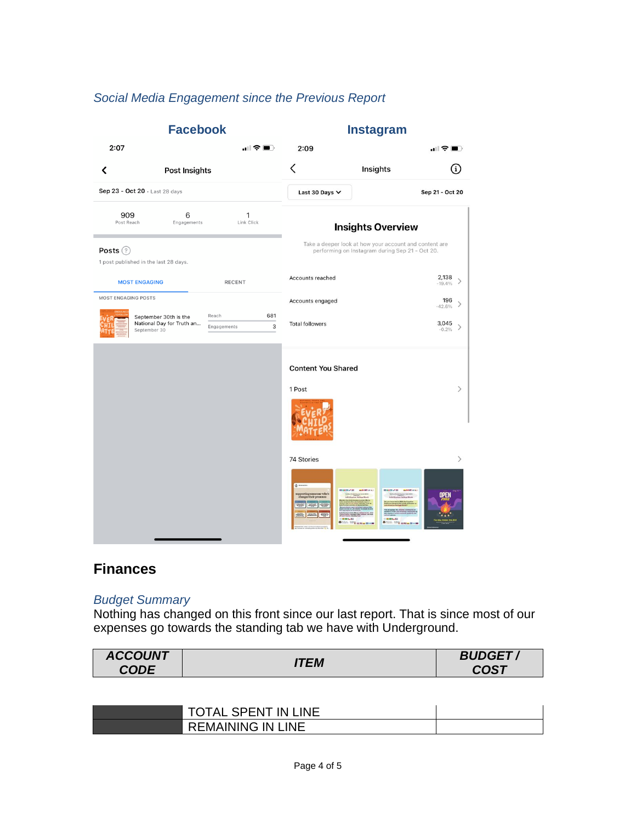## *Social Media Engagement since the Previous Report*



## **Finances**

#### *Budget Summary*

Nothing has changed on this front since our last report. That is since most of our expenses go towards the standing tab we have with Underground.

| <b>ACCOUNT</b> | ITEM | <b>BUDGET</b> |
|----------------|------|---------------|
| <b>CODE</b>    |      | <b>COST</b>   |

| <b>TOTAL SPENT IN LINE</b> |  |
|----------------------------|--|
| <b>REMAINING IN LINE</b>   |  |